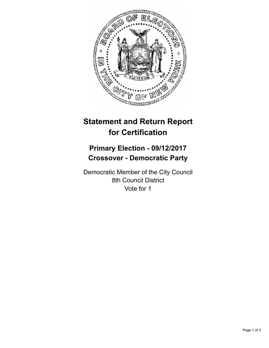

# **Statement and Return Report for Certification**

## **Primary Election - 09/12/2017 Crossover - Democratic Party**

Democratic Member of the City Council 8th Council District Vote for 1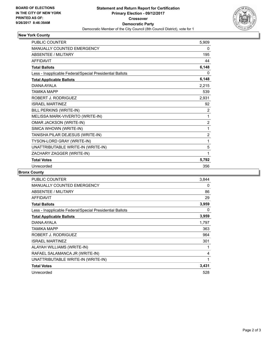

### **New York County**

| <b>PUBLIC COUNTER</b>                                    | 5,909          |
|----------------------------------------------------------|----------------|
| MANUALLY COUNTED EMERGENCY                               | 0              |
| <b>ABSENTEE / MILITARY</b>                               | 195            |
| <b>AFFIDAVIT</b>                                         | 44             |
| <b>Total Ballots</b>                                     | 6,148          |
| Less - Inapplicable Federal/Special Presidential Ballots | 0              |
| <b>Total Applicable Ballots</b>                          | 6,148          |
| DIANA AYALA                                              | 2,215          |
| <b>TAMIKA MAPP</b>                                       | 539            |
| ROBERT J. RODRIGUEZ                                      | 2,931          |
| <b>ISRAEL MARTINEZ</b>                                   | 92             |
| BILL PERKINS (WRITE-IN)                                  | $\overline{2}$ |
| MELISSA MARK-VIVERITO (WRITE-IN)                         | 1              |
| OMAR JACKSON (WRITE-IN)                                  | $\overline{2}$ |
| SIMCA WHOWN (WRITE-IN)                                   | 1              |
| TANISHA PILAR DEJESUS (WRITE-IN)                         | $\overline{2}$ |
| TYSON-LORD GRAY (WRITE-IN)                               | 1              |
| UNATTRIBUTABLE WRITE-IN (WRITE-IN)                       | 5              |
| ZACHARY ZAGGER (WRITE-IN)                                | 1              |
| <b>Total Votes</b>                                       | 5,792          |
| Unrecorded                                               | 356            |

### **Bronx County**

| <b>PUBLIC COUNTER</b>                                    | 3,844 |
|----------------------------------------------------------|-------|
| <b>MANUALLY COUNTED EMERGENCY</b>                        | 0     |
| ABSENTEE / MILITARY                                      | 86    |
| <b>AFFIDAVIT</b>                                         | 29    |
| <b>Total Ballots</b>                                     | 3,959 |
| Less - Inapplicable Federal/Special Presidential Ballots | 0     |
| <b>Total Applicable Ballots</b>                          | 3,959 |
| DIANA AYALA                                              | 1,797 |
| TAMIKA MAPP                                              | 363   |
| ROBERT J. RODRIGUEZ                                      | 964   |
| <b>ISRAEL MARTINEZ</b>                                   | 301   |
| ALAYAH WILLIAMS (WRITE-IN)                               | 1     |
| RAFAEL SALAMANCA JR (WRITE-IN)                           | 4     |
| UNATTRIBUTABLE WRITE-IN (WRITE-IN)                       | 1     |
| <b>Total Votes</b>                                       | 3,431 |
| Unrecorded                                               | 528   |